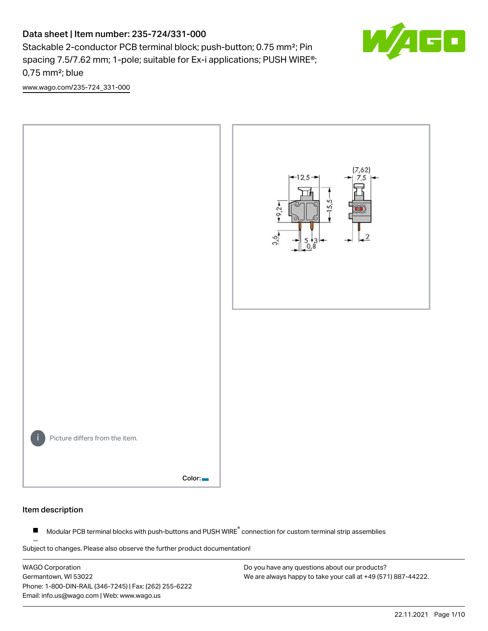# Data sheet | Item number: 235-724/331-000

Stackable 2-conductor PCB terminal block; push-button; 0.75 mm<sup>2</sup>; Pin spacing 7.5/7.62 mm; 1-pole; suitable for Ex-i applications; PUSH WIRE®; 0,75 mm²; blue



[www.wago.com/235-724\\_331-000](http://www.wago.com/235-724_331-000)



#### Item description

Modular PCB terminal blocks with push-buttons and PUSH WIRE<sup>®</sup> connection for custom terminal strip assemblies  $\blacksquare$ 

Subject to changes. Please also observe the further product documentation!

WAGO Corporation Germantown, WI 53022 Phone: 1-800-DIN-RAIL (346-7245) | Fax: (262) 255-6222 Email: info.us@wago.com | Web: www.wago.us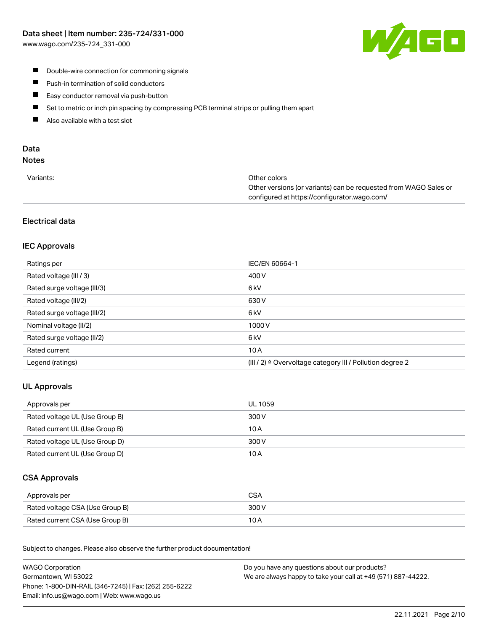

- **Double-wire connection for commoning signals**
- $\blacksquare$ Push-in termination of solid conductors
- Easy conductor removal via push-button  $\blacksquare$
- $\blacksquare$ Set to metric or inch pin spacing by compressing PCB terminal strips or pulling them apart
- $\blacksquare$ Also available with a test slot

# Data

# Notes

| Variants: | Other colors                                                     |
|-----------|------------------------------------------------------------------|
|           | Other versions (or variants) can be requested from WAGO Sales or |
|           | configured at https://configurator.wago.com/                     |

# Electrical data

# IEC Approvals

| Ratings per                 | IEC/EN 60664-1                                                       |
|-----------------------------|----------------------------------------------------------------------|
| Rated voltage (III / 3)     | 400 V                                                                |
| Rated surge voltage (III/3) | 6 <sub>kV</sub>                                                      |
| Rated voltage (III/2)       | 630 V                                                                |
| Rated surge voltage (III/2) | 6 <sub>kV</sub>                                                      |
| Nominal voltage (II/2)      | 1000V                                                                |
| Rated surge voltage (II/2)  | 6 <sub>kV</sub>                                                      |
| Rated current               | 10A                                                                  |
| Legend (ratings)            | (III / 2) $\triangleq$ Overvoltage category III / Pollution degree 2 |

# UL Approvals

| Approvals per                  | UL 1059 |
|--------------------------------|---------|
| Rated voltage UL (Use Group B) | 300 V   |
| Rated current UL (Use Group B) | 10 A    |
| Rated voltage UL (Use Group D) | 300 V   |
| Rated current UL (Use Group D) | 10 A    |

#### CSA Approvals

| Approvals per                   | CSA   |
|---------------------------------|-------|
| Rated voltage CSA (Use Group B) | 300 V |
| Rated current CSA (Use Group B) | 10 A  |

.<br>Subject to changes. Please also observe the further product documentation!

| <b>WAGO Corporation</b>                                | Do you have any questions about our products?                 |
|--------------------------------------------------------|---------------------------------------------------------------|
| Germantown, WI 53022                                   | We are always happy to take your call at +49 (571) 887-44222. |
| Phone: 1-800-DIN-RAIL (346-7245)   Fax: (262) 255-6222 |                                                               |
| Email: info.us@wago.com   Web: www.wago.us             |                                                               |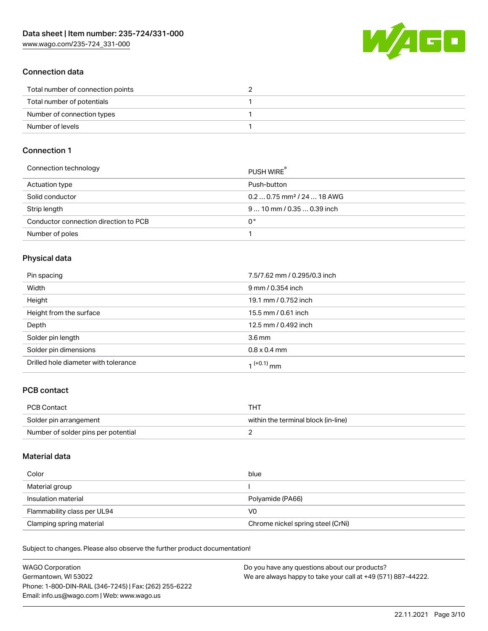[www.wago.com/235-724\\_331-000](http://www.wago.com/235-724_331-000)



## Connection data

| Total number of connection points |  |
|-----------------------------------|--|
| Total number of potentials        |  |
| Number of connection types        |  |
| Number of levels                  |  |

## Connection 1

| Connection technology                 | PUSH WIRE                              |
|---------------------------------------|----------------------------------------|
| Actuation type                        | Push-button                            |
| Solid conductor                       | $0.20.75$ mm <sup>2</sup> / 24  18 AWG |
| Strip length                          | $910$ mm $/0.350.39$ inch              |
| Conductor connection direction to PCB | 0°                                     |
| Number of poles                       |                                        |

# Physical data

| Pin spacing                          | 7.5/7.62 mm / 0.295/0.3 inch |
|--------------------------------------|------------------------------|
| Width                                | 9 mm / 0.354 inch            |
| Height                               | 19.1 mm / 0.752 inch         |
| Height from the surface              | 15.5 mm / 0.61 inch          |
| Depth                                | 12.5 mm / 0.492 inch         |
| Solder pin length                    | $3.6 \,\mathrm{mm}$          |
| Solder pin dimensions                | $0.8 \times 0.4$ mm          |
| Drilled hole diameter with tolerance | 1 <sup>(+0.1)</sup> mm       |

# PCB contact

| <b>PCB Contact</b>                  | THT                                 |
|-------------------------------------|-------------------------------------|
| Solder pin arrangement              | within the terminal block (in-line) |
| Number of solder pins per potential |                                     |

#### Material data

| Color                       | blue                              |
|-----------------------------|-----------------------------------|
| Material group              |                                   |
| Insulation material         | Polyamide (PA66)                  |
| Flammability class per UL94 | V0                                |
| Clamping spring material    | Chrome nickel spring steel (CrNi) |

Subject to changes. Please also observe the further product documentation!

| <b>WAGO Corporation</b>                                | Do you have any questions about our products?                 |
|--------------------------------------------------------|---------------------------------------------------------------|
| Germantown, WI 53022                                   | We are always happy to take your call at +49 (571) 887-44222. |
| Phone: 1-800-DIN-RAIL (346-7245)   Fax: (262) 255-6222 |                                                               |
| Email: info.us@wago.com   Web: www.wago.us             |                                                               |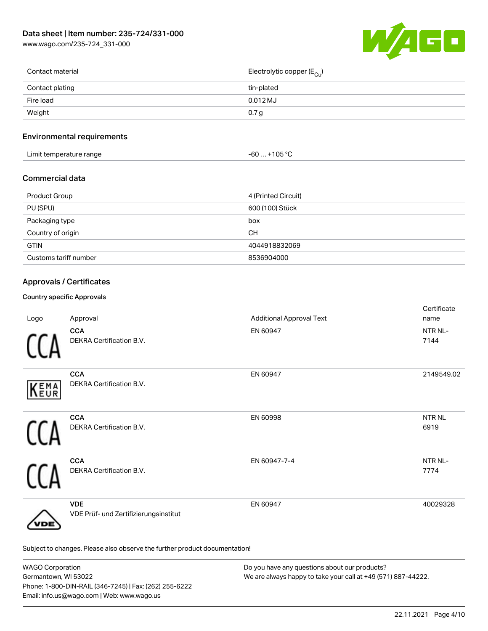[www.wago.com/235-724\\_331-000](http://www.wago.com/235-724_331-000)



| Contact material | Electrolytic copper (E <sub>Cu</sub> ) |
|------------------|----------------------------------------|
| Contact plating  | tin-plated                             |
| Fire load        | $0.012$ MJ                             |
| Weight           | 0.7 <sub>g</sub>                       |
|                  |                                        |

# Environmental requirements

| Limit temperature range | $.$ +105 °C $\,$<br>-60 |
|-------------------------|-------------------------|
|-------------------------|-------------------------|

#### Commercial data

| Product Group         | 4 (Printed Circuit) |
|-----------------------|---------------------|
| PU (SPU)              | 600 (100) Stück     |
| Packaging type        | box                 |
| Country of origin     | CН                  |
| <b>GTIN</b>           | 4044918832069       |
| Customs tariff number | 8536904000          |

# Approvals / Certificates

#### Country specific Approvals

| Logo | Approval                                                                   | <b>Additional Approval Text</b> | Certificate<br>name         |
|------|----------------------------------------------------------------------------|---------------------------------|-----------------------------|
|      | <b>CCA</b><br>DEKRA Certification B.V.                                     | EN 60947                        | NTR NL-<br>7144             |
| KEMA | <b>CCA</b><br><b>DEKRA Certification B.V.</b>                              | EN 60947                        | 2149549.02                  |
|      | <b>CCA</b><br>DEKRA Certification B.V.                                     | EN 60998                        | <b>NTRNL</b><br>6919        |
|      | <b>CCA</b><br>DEKRA Certification B.V.                                     | EN 60947-7-4                    | NTR <sub>NL</sub> -<br>7774 |
| /DE  | <b>VDE</b><br>VDE Prüf- und Zertifizierungsinstitut                        | EN 60947                        | 40029328                    |
|      | Subject to changes. Please also observe the further product documentation! |                                 |                             |

| <b>WAGO Corporation</b>                                | Do you have any questions about our products?                 |
|--------------------------------------------------------|---------------------------------------------------------------|
| Germantown, WI 53022                                   | We are always happy to take your call at +49 (571) 887-44222. |
| Phone: 1-800-DIN-RAIL (346-7245)   Fax: (262) 255-6222 |                                                               |
| Email: info.us@wago.com   Web: www.wago.us             |                                                               |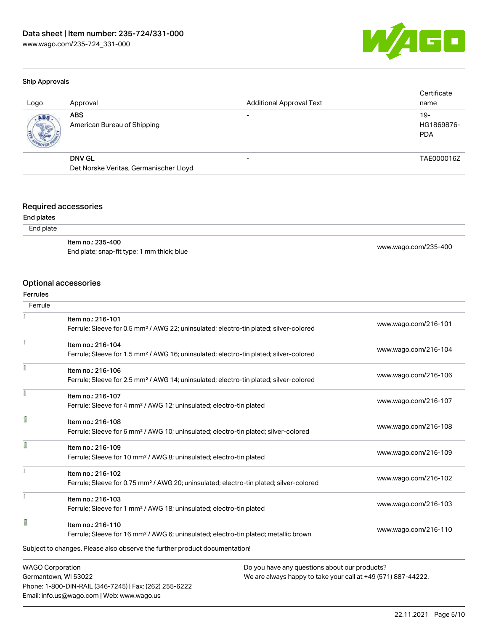

#### Ship Approvals

| Logo | Approval                                  | <b>Additional Approval Text</b> | Certificate<br>name               |
|------|-------------------------------------------|---------------------------------|-----------------------------------|
| ABS  | <b>ABS</b><br>American Bureau of Shipping |                                 | $19-$<br>HG1869876-<br><b>PDA</b> |
|      | <b>DNV GL</b>                             | $\overline{\phantom{0}}$        | TAE000016Z                        |
|      | Det Norske Veritas, Germanischer Lloyd    |                                 |                                   |

#### Required accessories

#### End plates

#### End plate

| ltem no.: 235-400                          |                      |
|--------------------------------------------|----------------------|
| End plate; snap-fit type; 1 mm thick; blue | www.wago.com/235-400 |

#### Optional accessories

Phone: 1-800-DIN-RAIL (346-7245) | Fax: (262) 255-6222

Email: info.us@wago.com | Web: www.wago.us

#### Ferrules

| Ferrule                 |                                                                                                    |                                                               |
|-------------------------|----------------------------------------------------------------------------------------------------|---------------------------------------------------------------|
|                         | Item no.: 216-101                                                                                  |                                                               |
|                         | Ferrule; Sleeve for 0.5 mm <sup>2</sup> / AWG 22; uninsulated; electro-tin plated; silver-colored  | www.wago.com/216-101                                          |
|                         | Item no.: 216-104                                                                                  |                                                               |
|                         | Ferrule; Sleeve for 1.5 mm <sup>2</sup> / AWG 16; uninsulated; electro-tin plated; silver-colored  | www.wago.com/216-104                                          |
|                         | Item no.: 216-106                                                                                  |                                                               |
|                         | Ferrule; Sleeve for 2.5 mm <sup>2</sup> / AWG 14; uninsulated; electro-tin plated; silver-colored  | www.wago.com/216-106                                          |
|                         | Item no.: 216-107                                                                                  |                                                               |
|                         | Ferrule; Sleeve for 4 mm <sup>2</sup> / AWG 12; uninsulated; electro-tin plated                    | www.wago.com/216-107                                          |
| Ī                       | Item no.: 216-108                                                                                  |                                                               |
|                         | Ferrule; Sleeve for 6 mm <sup>2</sup> / AWG 10; uninsulated; electro-tin plated; silver-colored    | www.wago.com/216-108                                          |
|                         | Item no.: 216-109                                                                                  |                                                               |
|                         | Ferrule; Sleeve for 10 mm <sup>2</sup> / AWG 8; uninsulated; electro-tin plated                    | www.wago.com/216-109                                          |
|                         | Item no.: 216-102                                                                                  |                                                               |
|                         | Ferrule; Sleeve for 0.75 mm <sup>2</sup> / AWG 20; uninsulated; electro-tin plated; silver-colored | www.wago.com/216-102                                          |
|                         | Item no.: 216-103                                                                                  |                                                               |
|                         | Ferrule; Sleeve for 1 mm <sup>2</sup> / AWG 18; uninsulated; electro-tin plated                    | www.wago.com/216-103                                          |
| I                       | Item no.: 216-110                                                                                  |                                                               |
|                         | Ferrule; Sleeve for 16 mm <sup>2</sup> / AWG 6; uninsulated; electro-tin plated; metallic brown    | www.wago.com/216-110                                          |
|                         | Subject to changes. Please also observe the further product documentation!                         |                                                               |
| <b>WAGO Corporation</b> |                                                                                                    | Do you have any questions about our products?                 |
| Germantown, WI 53022    |                                                                                                    | We are always happy to take your call at +49 (571) 887-44222. |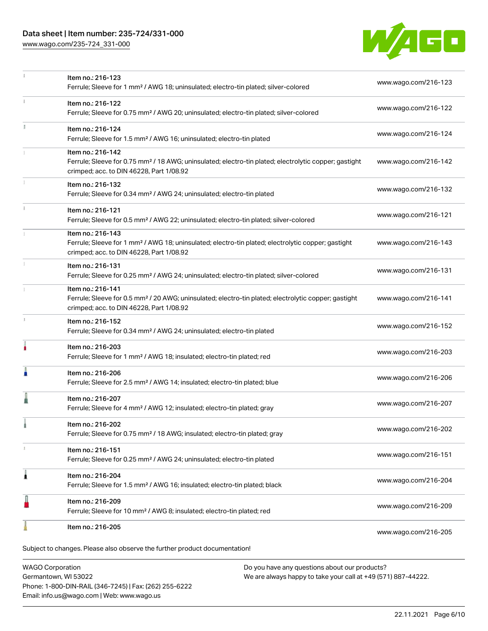## Data sheet | Item number: 235-724/331-000

[www.wago.com/235-724\\_331-000](http://www.wago.com/235-724_331-000)



|    | Item no.: 216-123<br>Ferrule; Sleeve for 1 mm <sup>2</sup> / AWG 18; uninsulated; electro-tin plated; silver-colored                                                               | www.wago.com/216-123 |
|----|------------------------------------------------------------------------------------------------------------------------------------------------------------------------------------|----------------------|
| ī. | Item no.: 216-122<br>Ferrule; Sleeve for 0.75 mm <sup>2</sup> / AWG 20; uninsulated; electro-tin plated; silver-colored                                                            | www.wago.com/216-122 |
|    | Item no.: 216-124<br>Ferrule; Sleeve for 1.5 mm <sup>2</sup> / AWG 16; uninsulated; electro-tin plated                                                                             | www.wago.com/216-124 |
|    | Item no.: 216-142<br>Ferrule; Sleeve for 0.75 mm <sup>2</sup> / 18 AWG; uninsulated; electro-tin plated; electrolytic copper; gastight<br>crimped; acc. to DIN 46228, Part 1/08.92 | www.wago.com/216-142 |
|    | Item no.: 216-132<br>Ferrule; Sleeve for 0.34 mm <sup>2</sup> / AWG 24; uninsulated; electro-tin plated                                                                            | www.wago.com/216-132 |
|    | Item no.: 216-121<br>Ferrule; Sleeve for 0.5 mm <sup>2</sup> / AWG 22; uninsulated; electro-tin plated; silver-colored                                                             | www.wago.com/216-121 |
|    | Item no.: 216-143<br>Ferrule; Sleeve for 1 mm <sup>2</sup> / AWG 18; uninsulated; electro-tin plated; electrolytic copper; gastight<br>crimped; acc. to DIN 46228, Part 1/08.92    | www.wago.com/216-143 |
|    | Item no.: 216-131<br>Ferrule; Sleeve for 0.25 mm <sup>2</sup> / AWG 24; uninsulated; electro-tin plated; silver-colored                                                            | www.wago.com/216-131 |
|    | Item no.: 216-141<br>Ferrule; Sleeve for 0.5 mm <sup>2</sup> / 20 AWG; uninsulated; electro-tin plated; electrolytic copper; gastight<br>crimped; acc. to DIN 46228, Part 1/08.92  | www.wago.com/216-141 |
| s. | Item no.: 216-152<br>Ferrule; Sleeve for 0.34 mm <sup>2</sup> / AWG 24; uninsulated; electro-tin plated                                                                            | www.wago.com/216-152 |
|    | Item no.: 216-203<br>Ferrule; Sleeve for 1 mm <sup>2</sup> / AWG 18; insulated; electro-tin plated; red                                                                            | www.wago.com/216-203 |
| Å  | Item no.: 216-206<br>Ferrule; Sleeve for 2.5 mm <sup>2</sup> / AWG 14; insulated; electro-tin plated; blue                                                                         | www.wago.com/216-206 |
|    | Item no.: 216-207<br>Ferrule; Sleeve for 4 mm <sup>2</sup> / AWG 12; insulated; electro-tin plated; gray                                                                           | www.wago.com/216-207 |
|    | Item no.: 216-202<br>Ferrule; Sleeve for 0.75 mm <sup>2</sup> / 18 AWG; insulated; electro-tin plated; gray                                                                        | www.wago.com/216-202 |
| T. | Item no.: 216-151<br>Ferrule; Sleeve for 0.25 mm <sup>2</sup> / AWG 24; uninsulated; electro-tin plated                                                                            | www.wago.com/216-151 |
| 1  | Item no.: 216-204<br>Ferrule; Sleeve for 1.5 mm <sup>2</sup> / AWG 16; insulated; electro-tin plated; black                                                                        | www.wago.com/216-204 |
|    | Item no.: 216-209<br>Ferrule; Sleeve for 10 mm <sup>2</sup> / AWG 8; insulated; electro-tin plated; red                                                                            | www.wago.com/216-209 |
|    | Item no.: 216-205                                                                                                                                                                  | www.wago.com/216-205 |
|    | Subject to changes. Please also observe the further product documentation!                                                                                                         |                      |

WAGO Corporation Germantown, WI 53022 Phone: 1-800-DIN-RAIL (346-7245) | Fax: (262) 255-6222 Email: info.us@wago.com | Web: www.wago.us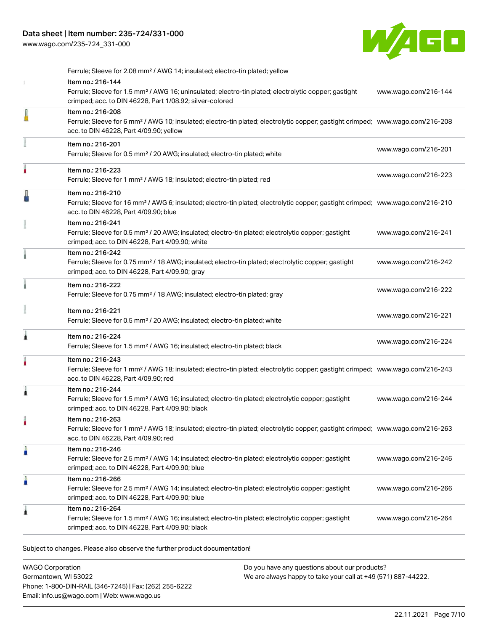[www.wago.com/235-724\\_331-000](http://www.wago.com/235-724_331-000)



|   | Ferrule; Sleeve for 2.08 mm <sup>2</sup> / AWG 14; insulated; electro-tin plated; yellow                                                                                                                   |                      |
|---|------------------------------------------------------------------------------------------------------------------------------------------------------------------------------------------------------------|----------------------|
|   | Item no.: 216-144<br>Ferrule; Sleeve for 1.5 mm <sup>2</sup> / AWG 16; uninsulated; electro-tin plated; electrolytic copper; gastight<br>crimped; acc. to DIN 46228, Part 1/08.92; silver-colored          | www.wago.com/216-144 |
| l | Item no.: 216-208<br>Ferrule; Sleeve for 6 mm <sup>2</sup> / AWG 10; insulated; electro-tin plated; electrolytic copper; gastight crimped; www.wago.com/216-208<br>acc. to DIN 46228, Part 4/09.90; yellow |                      |
|   | Item no.: 216-201<br>Ferrule; Sleeve for 0.5 mm <sup>2</sup> / 20 AWG; insulated; electro-tin plated; white                                                                                                | www.wago.com/216-201 |
|   | Item no.: 216-223<br>Ferrule; Sleeve for 1 mm <sup>2</sup> / AWG 18; insulated; electro-tin plated; red                                                                                                    | www.wago.com/216-223 |
|   | Item no.: 216-210<br>Ferrule; Sleeve for 16 mm <sup>2</sup> / AWG 6; insulated; electro-tin plated; electrolytic copper; gastight crimped; www.wago.com/216-210<br>acc. to DIN 46228, Part 4/09.90; blue   |                      |
|   | Item no.: 216-241<br>Ferrule; Sleeve for 0.5 mm <sup>2</sup> / 20 AWG; insulated; electro-tin plated; electrolytic copper; gastight<br>crimped; acc. to DIN 46228, Part 4/09.90; white                     | www.wago.com/216-241 |
|   | Item no.: 216-242<br>Ferrule; Sleeve for 0.75 mm <sup>2</sup> / 18 AWG; insulated; electro-tin plated; electrolytic copper; gastight<br>crimped; acc. to DIN 46228, Part 4/09.90; gray                     | www.wago.com/216-242 |
|   | Item no.: 216-222<br>Ferrule; Sleeve for 0.75 mm <sup>2</sup> / 18 AWG; insulated; electro-tin plated; gray                                                                                                | www.wago.com/216-222 |
|   | Item no.: 216-221<br>Ferrule; Sleeve for 0.5 mm <sup>2</sup> / 20 AWG; insulated; electro-tin plated; white                                                                                                | www.wago.com/216-221 |
| Â | Item no.: 216-224<br>Ferrule; Sleeve for 1.5 mm <sup>2</sup> / AWG 16; insulated; electro-tin plated; black                                                                                                | www.wago.com/216-224 |
|   | Item no.: 216-243<br>Ferrule; Sleeve for 1 mm <sup>2</sup> / AWG 18; insulated; electro-tin plated; electrolytic copper; gastight crimped; www.wago.com/216-243<br>acc. to DIN 46228, Part 4/09.90; red    |                      |
|   | Item no.: 216-244<br>Ferrule; Sleeve for 1.5 mm <sup>2</sup> / AWG 16; insulated; electro-tin plated; electrolytic copper; gastight<br>crimped; acc. to DIN 46228, Part 4/09.90; black                     | www.wago.com/216-244 |
|   | Item no.: 216-263<br>Ferrule; Sleeve for 1 mm <sup>2</sup> / AWG 18; insulated; electro-tin plated; electrolytic copper; gastight crimped; www.wago.com/216-263<br>acc. to DIN 46228, Part 4/09.90; red    |                      |
| п | Item no.: 216-246<br>Ferrule; Sleeve for 2.5 mm <sup>2</sup> / AWG 14; insulated; electro-tin plated; electrolytic copper; gastight<br>crimped; acc. to DIN 46228, Part 4/09.90; blue                      | www.wago.com/216-246 |
| п | Item no.: 216-266<br>Ferrule; Sleeve for 2.5 mm <sup>2</sup> / AWG 14; insulated; electro-tin plated; electrolytic copper; gastight<br>crimped; acc. to DIN 46228, Part 4/09.90; blue                      | www.wago.com/216-266 |
| £ | Item no.: 216-264<br>Ferrule; Sleeve for 1.5 mm <sup>2</sup> / AWG 16; insulated; electro-tin plated; electrolytic copper; gastight<br>crimped; acc. to DIN 46228, Part 4/09.90; black                     | www.wago.com/216-264 |

Subject to changes. Please also observe the further product documentation!

WAGO Corporation Germantown, WI 53022 Phone: 1-800-DIN-RAIL (346-7245) | Fax: (262) 255-6222 Email: info.us@wago.com | Web: www.wago.us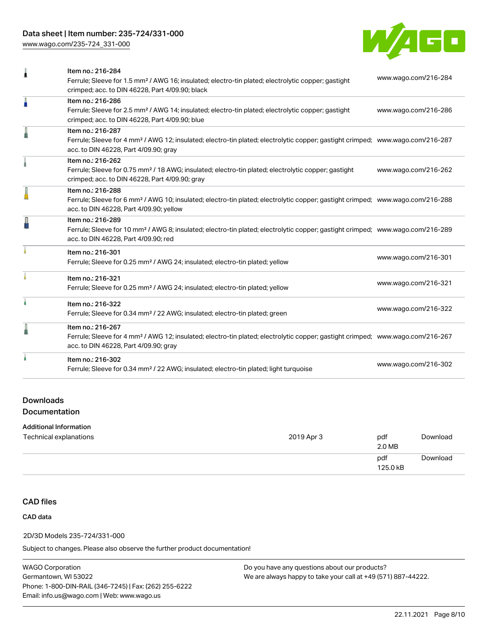# Data sheet | Item number: 235-724/331-000

[www.wago.com/235-724\\_331-000](http://www.wago.com/235-724_331-000)



| 1 | Item no.: 216-284<br>Ferrule; Sleeve for 1.5 mm <sup>2</sup> / AWG 16; insulated; electro-tin plated; electrolytic copper; gastight<br>crimped; acc. to DIN 46228, Part 4/09.90; black                     | www.wago.com/216-284 |
|---|------------------------------------------------------------------------------------------------------------------------------------------------------------------------------------------------------------|----------------------|
| I | Item no.: 216-286<br>Ferrule; Sleeve for 2.5 mm <sup>2</sup> / AWG 14; insulated; electro-tin plated; electrolytic copper; gastight<br>crimped; acc. to DIN 46228, Part 4/09.90; blue                      | www.wago.com/216-286 |
|   | Item no.: 216-287<br>Ferrule; Sleeve for 4 mm <sup>2</sup> / AWG 12; insulated; electro-tin plated; electrolytic copper; gastight crimped; www.wago.com/216-287<br>acc. to DIN 46228, Part 4/09.90; gray   |                      |
|   | Item no.: 216-262<br>Ferrule; Sleeve for 0.75 mm <sup>2</sup> / 18 AWG; insulated; electro-tin plated; electrolytic copper; gastight<br>crimped; acc. to DIN 46228, Part 4/09.90; gray                     | www.wago.com/216-262 |
| I | Item no.: 216-288<br>Ferrule; Sleeve for 6 mm <sup>2</sup> / AWG 10; insulated; electro-tin plated; electrolytic copper; gastight crimped; www.wago.com/216-288<br>acc. to DIN 46228, Part 4/09.90; yellow |                      |
| Д | Item no.: 216-289<br>Ferrule; Sleeve for 10 mm <sup>2</sup> / AWG 8; insulated; electro-tin plated; electrolytic copper; gastight crimped; www.wago.com/216-289<br>acc. to DIN 46228, Part 4/09.90; red    |                      |
|   | Item no.: 216-301<br>Ferrule; Sleeve for 0.25 mm <sup>2</sup> / AWG 24; insulated; electro-tin plated; yellow                                                                                              | www.wago.com/216-301 |
|   | Item no.: 216-321<br>Ferrule; Sleeve for 0.25 mm <sup>2</sup> / AWG 24; insulated; electro-tin plated; yellow                                                                                              | www.wago.com/216-321 |
| ł | Item no.: 216-322<br>Ferrule; Sleeve for 0.34 mm <sup>2</sup> / 22 AWG; insulated; electro-tin plated; green                                                                                               | www.wago.com/216-322 |
| I | Item no.: 216-267<br>Ferrule; Sleeve for 4 mm <sup>2</sup> / AWG 12; insulated; electro-tin plated; electrolytic copper; gastight crimped; www.wago.com/216-267<br>acc. to DIN 46228, Part 4/09.90; gray   |                      |
|   | Item no.: 216-302<br>Ferrule; Sleeve for 0.34 mm <sup>2</sup> / 22 AWG; insulated; electro-tin plated; light turquoise                                                                                     | www.wago.com/216-302 |
|   |                                                                                                                                                                                                            |                      |

# Downloads Documentation

#### Additional Information

| Technical explanations | 2019 Apr 3 | pdf<br>2.0 MB   | Download |
|------------------------|------------|-----------------|----------|
|                        |            | pdf<br>125.0 kB | Download |

# CAD files

#### CAD data

#### 2D/3D Models 235-724/331-000

Subject to changes. Please also observe the further product documentation!

WAGO Corporation Germantown, WI 53022 Phone: 1-800-DIN-RAIL (346-7245) | Fax: (262) 255-6222 Email: info.us@wago.com | Web: www.wago.us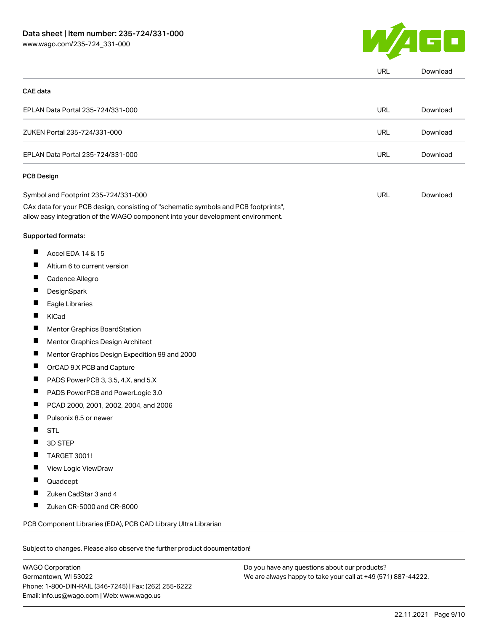

|                 |                                                                                                                                                                        | URL        | Download |
|-----------------|------------------------------------------------------------------------------------------------------------------------------------------------------------------------|------------|----------|
| <b>CAE</b> data |                                                                                                                                                                        |            |          |
|                 | EPLAN Data Portal 235-724/331-000                                                                                                                                      | <b>URL</b> | Download |
|                 | ZUKEN Portal 235-724/331-000                                                                                                                                           | <b>URL</b> | Download |
|                 | EPLAN Data Portal 235-724/331-000                                                                                                                                      | <b>URL</b> | Download |
|                 | PCB Design                                                                                                                                                             |            |          |
|                 | Symbol and Footprint 235-724/331-000                                                                                                                                   | <b>URL</b> | Download |
|                 | CAx data for your PCB design, consisting of "schematic symbols and PCB footprints",<br>allow easy integration of the WAGO component into your development environment. |            |          |
|                 | Supported formats:                                                                                                                                                     |            |          |
| ш               | Accel EDA 14 & 15                                                                                                                                                      |            |          |
| ш               | Altium 6 to current version                                                                                                                                            |            |          |
| ш               | Cadence Allegro                                                                                                                                                        |            |          |
| ш               | DesignSpark                                                                                                                                                            |            |          |
| П               | Eagle Libraries                                                                                                                                                        |            |          |
| ш               | KiCad                                                                                                                                                                  |            |          |
|                 | Mentor Graphics BoardStation                                                                                                                                           |            |          |
| Ш               | Mentor Graphics Design Architect                                                                                                                                       |            |          |
| ш               | Mentor Graphics Design Expedition 99 and 2000                                                                                                                          |            |          |
| ш               | OrCAD 9.X PCB and Capture                                                                                                                                              |            |          |
| ш               | PADS PowerPCB 3, 3.5, 4.X, and 5.X                                                                                                                                     |            |          |
| ш               | PADS PowerPCB and PowerLogic 3.0                                                                                                                                       |            |          |
|                 | PCAD 2000, 2001, 2002, 2004, and 2006                                                                                                                                  |            |          |
| ш               | Pulsonix 8.5 or newer                                                                                                                                                  |            |          |
|                 | <b>STL</b>                                                                                                                                                             |            |          |
|                 | 3D STEP                                                                                                                                                                |            |          |
|                 | TARGET 3001!                                                                                                                                                           |            |          |
|                 | View Logic ViewDraw                                                                                                                                                    |            |          |
|                 | Quadcept                                                                                                                                                               |            |          |
|                 | Zuken CadStar 3 and 4                                                                                                                                                  |            |          |
|                 | Zuken CR-5000 and CR-8000                                                                                                                                              |            |          |
|                 | PCB Component Libraries (EDA), PCB CAD Library Ultra Librarian                                                                                                         |            |          |

WAGO Corporation Germantown, WI 53022 Phone: 1-800-DIN-RAIL (346-7245) | Fax: (262) 255-6222 Email: info.us@wago.com | Web: www.wago.us